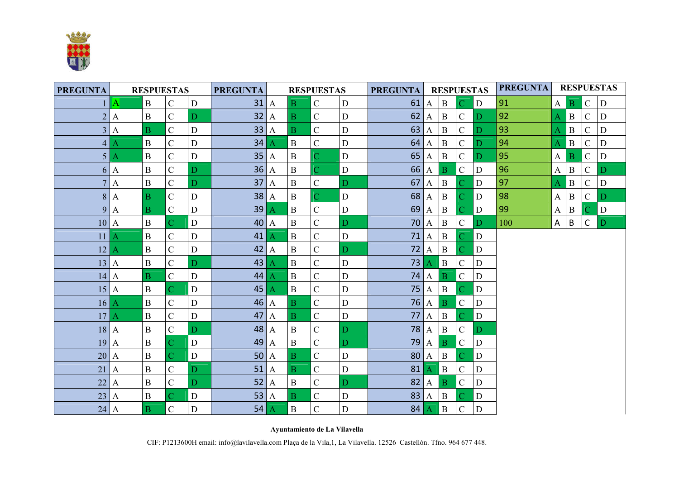

| <b>PREGUNTA</b> |                  | <b>RESPUESTAS</b> |                    |             | <b>PREGUNTA</b><br><b>RESPUESTAS</b> |                  |                |                    |              | <b>PREGUNTA</b>     | <b>RESPUESTAS</b> |              |                |             | <b>PREGUNTA</b> | <b>RESPUESTAS</b> |              |               |             |  |
|-----------------|------------------|-------------------|--------------------|-------------|--------------------------------------|------------------|----------------|--------------------|--------------|---------------------|-------------------|--------------|----------------|-------------|-----------------|-------------------|--------------|---------------|-------------|--|
|                 | A                | $\, {\bf B}$      | $\overline{C}$     | D           | 31                                   | $\mathbf{A}$     | $\overline{B}$ | $\mathbf C$        | D            | 61                  | $\mathbf{A}$      | $\mathbf{B}$ | $\mathcal{C}$  | D           | 91              | $\mathbf{A}$      | Β            | $\mathcal{C}$ | D           |  |
| $\overline{2}$  | $\boldsymbol{A}$ | $\, {\bf B}$      | $\overline{C}$     | D           | 32                                   | $\mathbf{A}$     | $\overline{B}$ | $\mathbf C$        | D            | 62                  | $\mathbf{A}$      | $\mathbf{B}$ | $\mathcal{C}$  | D           | 92              | A                 | $\mathbf B$  | $\mathcal{C}$ | D           |  |
|                 | 3 A              | $\mathbf{B}$      | $\mathbf C$        | D           | 33                                   | $\boldsymbol{A}$ | $\mathbf{B}$   | $\mathbf C$        | D            | $63$ A              |                   | B            | ${\bf C}$      | D           | 93              | A                 | $\mathbf B$  | $\mathcal{C}$ | D           |  |
| 4 <sup>1</sup>  | А                | $\, {\bf B}$      | $\overline{C}$     | $\mathbf D$ | 34                                   | Α                | $\, {\bf B}$   | $\overline{C}$     | $\mathbf D$  |                     | $64$ A            | $\mathbf{B}$ | $\mathbf C$    | D           | 94              | A                 | $\mathbf B$  | $\mathcal{C}$ | D           |  |
| 5               | А                | $\, {\bf B}$      | $\overline{C}$     | D           | 35                                   | $\mathbf{A}$     | $\, {\bf B}$   | $\overline{C}$     | $\mathbf D$  | $65$ $A$            |                   | $\mathbf{B}$ | $\mathcal{C}$  | D           | 95              | $\mathbf{A}$      | $\bf{B}$     | $\mathcal{C}$ | $\mathbf D$ |  |
|                 | 6 A              | $\, {\bf B}$      | $\overline{C}$     | D           | $36$ A                               |                  | $\mathbf{B}$   | $\overline{\rm C}$ | ${\bf D}$    |                     | 66 A              | $\vert$ B    | ${\bf C}$      | D           | 96              | $\mathbf{A}$      | $\mathbf{B}$ | $\mathbf C$   | D           |  |
| $\overline{7}$  | $\boldsymbol{A}$ | $\bf{B}$          | $\mathsf{C}$       | D           | 37                                   | $\mathbf{A}$     | $\mathbf B$    | $\mathbf C$        | $\mathbf{D}$ | 67                  | $\mathbf{A}$      | $\, {\bf B}$ | $\overline{C}$ | D           | 97              | A                 | $\mathbf B$  | $\mathbf C$   | ${\bf D}$   |  |
|                 | 8 A              | $\mathbf{B}$      | $\mathbf C$        | $\mathbf D$ | $38$ A                               |                  | $\mathbf{B}$   | $\overline{C}$     | $\mathbf D$  |                     | 68 A              | $\mathbf{B}$ | $\overline{C}$ | D           | 98              | $\mathbf{A}$      | $\mathbf{B}$ | ${\bf C}$     | D           |  |
| $\overline{9}$  | $\mathbf{A}$     | $\mathbf{B}$      | $\mathbf C$        | D           | 39                                   | А                | $\, {\bf B}$   | $\overline{C}$     | $\mathbf D$  |                     | $69$ $A$          | $\mathbf{B}$ | $\overline{C}$ | D           | 99              | $\mathbf{A}$      | $\mathbf{B}$ |               | ${\bf D}$   |  |
| 10 A            |                  | $\mathbf{B}$      | $\overline{\rm C}$ | $\mathbf D$ | $40$ A                               |                  | $\mathbf{B}$   | $\overline{C}$     | D            |                     | $70$ A B          |              | $\mathbf C$    | D           | 100             | $\mathsf{A}$      | B            | $\mathsf C$   | D           |  |
| 11              | $\bm{A}$         | $\, {\bf B}$      | $\overline{C}$     | D           | 41                                   | Α                | $\, {\bf B}$   | $\overline{C}$     | $\mathbf D$  | $71$ $A$            |                   | $\vert$ B    | $\overline{C}$ | D           |                 |                   |              |               |             |  |
| 12 A            |                  | $\, {\bf B}$      | $\overline{C}$     | $\mathbf D$ | $42$ A                               |                  | $\mathbf{B}$   | $\mathbf C$        | D            |                     | $72$ A            | B            | $\overline{C}$ | D           |                 |                   |              |               |             |  |
| 13 A            |                  | $\, {\bf B}$      | $\overline{C}$     | D           | 43                                   | Α                | $\, {\bf B}$   | $\mathbf C$        | $\mathbf D$  | $73$ $\overline{A}$ |                   | $\vert$ B    | $\mathbf C$    | D           |                 |                   |              |               |             |  |
| $14$ A          |                  | $\overline{B}$    | $\mathbf C$        | D           | 44                                   | Α                | $\mathbf{B}$   | $\mathbf C$        | $\mathbf D$  |                     | $74$ $A$          | $\mathbf{B}$ | $\mathbf C$    | D           |                 |                   |              |               |             |  |
| 15 A            |                  | $\, {\bf B}$      | $\overline{\rm C}$ | D           | 45                                   | Α                | $\, {\bf B}$   | $\overline{C}$     | $\mathbf D$  |                     | $75$ $A$          | $\vert$ B    | $\overline{C}$ | D           |                 |                   |              |               |             |  |
| 16 A            |                  | $\, {\bf B}$      | $\overline{C}$     | D           | $46$ A                               |                  | $\mathbf{B}$   | $\mathbf C$        | $\mathbf D$  |                     | $76$ A            | B            | $\mathbf C$    | D           |                 |                   |              |               |             |  |
| 17              | $\boldsymbol{A}$ | $\, {\bf B}$      | $\mathcal{C}$      | D           | 47                                   | $\mathbf{A}$     | $\mathbf{B}$   | $\mathbf C$        | $\mathbf D$  | 77                  | $\mathbf{A}$      | $\mathbf{B}$ | $\overline{C}$ | $\mathbf D$ |                 |                   |              |               |             |  |
| $18$ A          |                  | $\, {\bf B}$      | $\mathcal{C}$      | D           | $48$ A                               |                  | $\mathbf{B}$   | $\mathcal{C}$      | D            |                     | 78 A              | $\vert$ B    | $\mathbf C$    | D           |                 |                   |              |               |             |  |
| $19$ A          |                  | $\, {\bf B}$      | C                  | $\mathbf D$ | 49                                   | $\mathbf{A}$     | $\mathbf B$    | $\mathbf C$        | $\mathbf{D}$ |                     | 79 A              | $\mathbf{B}$ | $\mathbf C$    | D           |                 |                   |              |               |             |  |
| $20$ A          |                  | $\mathbf{B}$      | C                  | $\mathbf D$ | $50$ A                               |                  | $\mathbf{B}$   | $\mathbf C$        | $\mathbf D$  | $80$ A              |                   | $\mathbf{B}$ | $\overline{C}$ | D           |                 |                   |              |               |             |  |
| $21$ A          |                  | $\, {\bf B}$      | $\overline{C}$     | D           | $51$ A                               |                  | $\mathbf{B}$   | $\mathbf C$        | $\mathbf D$  | 81                  | A                 | $\vert$ B    | $\mathbf C$    | D           |                 |                   |              |               |             |  |
| 22              | $\boldsymbol{A}$ | $\mathbf{B}$      | $\overline{C}$     | D           | 52                                   | $\mathbf{A}$     | $\mathbf{B}$   | $\mathcal{C}$      | $\mathbf{D}$ | $82$ A              |                   | B            | $\overline{C}$ | D           |                 |                   |              |               |             |  |
| $23$ A          |                  | $\, {\bf B}$      | $\overline{\rm C}$ | $\mathbf D$ | $53$ $A$                             |                  | $\mathbf{B}$   | $\mathbf C$        | $\mathbf D$  |                     | $83$ A            | $\mathbf{B}$ | $\overline{C}$ | D           |                 |                   |              |               |             |  |
| $24$ A          |                  | $\mathbf{B}$      | $\mathbf C$        | D           | 54                                   | $\mathbf{A}$     | $\, {\bf B}$   | $\overline{C}$     | $\mathbf D$  | 84 A                |                   | $\vert$ B    | $\mathbf C$    | D           |                 |                   |              |               |             |  |

Ayuntamiento de La Vilavella

CIF: P1213600H email: info@lavilavella.com Plaça de la Vila,1, La Vilavella. 12526 Castellón. Tfno. 964 677 448.